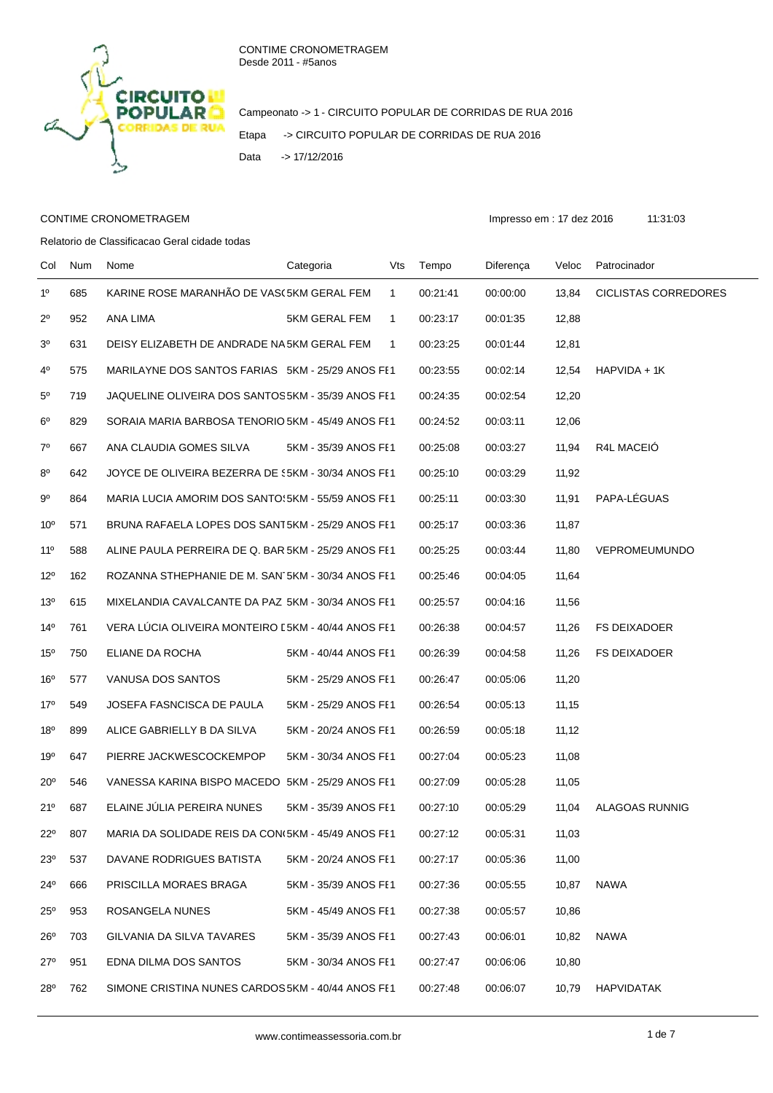

Campeonato -> 1 - CIRCUITO POPULAR DE CORRIDAS DE RUA 2016 Etapa -> CIRCUITO POPULAR DE CORRIDAS DE RUA 2016 Data -> 17/12/2016

## CONTIME CRONOMETRAGEM **Impresso em : 17 dez 2016** 11:31:03

Relatorio de Classificacao Geral cidade todas

Col Num Nome Categoria Vts Tempo Diferença Veloc Patrocinador 1º 685 KARINE ROSE MARANHÃO DE VAS(5KM GERAL FEM 1 00:21:41 00:00:00 13,84 CICLISTAS CORREDORES 2º 952 ANA LIMA 5KM GERAL FEM 1 00:23:17 00:01:35 12,88 3º 631 DEISY ELIZABETH DE ANDRADE NASCIMENTO 5KM GERAL FEM 1 00:23:25 00:01:44 12,81 4º 575 MARILAYNE DOS SANTOS FARIAS 5KM - 25/29 ANOS FEM1 00:23:55 00:02:14 12,54 HAPVIDA + 1K 5º 719 JAQUELINE OLIVEIRA DOS SANTOS5KM - 35/39 ANOS FEM1 00:24:35 00:02:54 12,20 6º 829 SORAIA MARIA BARBOSA TENORIO 5KM - 45/49 ANOS FE1 00:24:52 00:03:11 12,06 7º 667 ANA CLAUDIA GOMES SILVA 5KM - 35/39 ANOS FEM1 00:25:08 00:03:27 11,94 R4L MACEIÓ 8º 642 JOYCE DE OLIVEIRA BEZERRA DE 55KM - 30/34 ANOS FE1 00:25:10 00:03:29 11,92 9º 864 MARIA LUCIA AMORIM DOS SANTO\5KM - 55/59 ANOS FE1 00:25:11 00:03:30 11,91 PAPA-LÉGUAS 10º 571 BRUNA RAFAELA LOPES DOS SANT5KM - 25/29 ANOS FE1 00:25:17 00:03:36 11,87 11º 588 ALINE PAULA PERREIRA DE Q. BAR 5KM - 25/29 ANOS FE1 00:25:25 00:03:44 11.80 VEPROMEUMUNDO 12º 162 ROZANNA STHEPHANIE DE M. SAN<sup>-</sup>5KM - 30/34 ANOS FE1 00:25:46 00:04:05 11,64 13º 615 MIXELANDIA CAVALCANTE DA PAZ 5KM - 30/34 ANOS FE1 00:25:57 00:04:16 11,56 14º 761 VERA LÚCIA OLIVEIRA MONTEIRO E5KM - 40/44 ANOS FE1 00:26:38 00:04:57 11,26 FS DEIXADOER 15º 750 ELIANE DA ROCHA 5KM - 40/44 ANOS FEM1 00:26:39 00:04:58 11,26 FS DEIXADOER 16º 577 VANUSA DOS SANTOS 5KM - 25/29 ANOS FEM1 00:26:47 00:05:06 11,20 17º 549 JOSEFA FASNCISCA DE PAULA 5KM - 25/29 ANOS FEM1 00:26:54 00:05:13 11,15 18º 899 ALICE GABRIELLY B DA SILVA 5KM - 20/24 ANOS FE1 00:26:59 00:05:18 11.12 19º 647 PIERRE JACKWESCOCKEMPOP 5KM - 30/34 ANOS FE1 00:27:04 00:05:23 11,08 20º 546 VANESSA KARINA BISPO MACEDO 5KM - 25/29 ANOS FE1 00:27:09 00:05:28 11.05 21º 687 ELAINE JÚLIA PEREIRA NUNES 5KM - 35/39 ANOS FEM1 00:27:10 00:05:29 11,04 ALAGOAS RUNNIG 22º 807 MARIA DA SOLIDADE REIS DA CON(5KM - 45/49 ANOS FE1 00:27:12 00:05:31 11,03 23º 537 DAVANE RODRIGUES BATISTA 5KM - 20/24 ANOS FE1 00:27:17 00:05:36 11,00 24º 666 PRISCILLA MORAES BRAGA 5KM - 35/39 ANOS FE1 00:27:36 00:05:55 10,87 NAWA 25º 953 ROSANGELA NUNES 5KM - 45/49 ANOS FE1 00:27:38 00:05:57 10,86 26º 703 GILVANIA DA SILVA TAVARES 5KM - 35/39 ANOS FE1 00:27:43 00:06:01 10,82 NAWA 27º 951 EDNA DILMA DOS SANTOS 5KM - 30/34 ANOS FE1 00:27:47 00:06:06 10,80 28º 762 SIMONE CRISTINA NUNES CARDOS 5KM - 40/44 ANOS FE1 00:27:48 00:06:07 10,79 HAPVIDATAK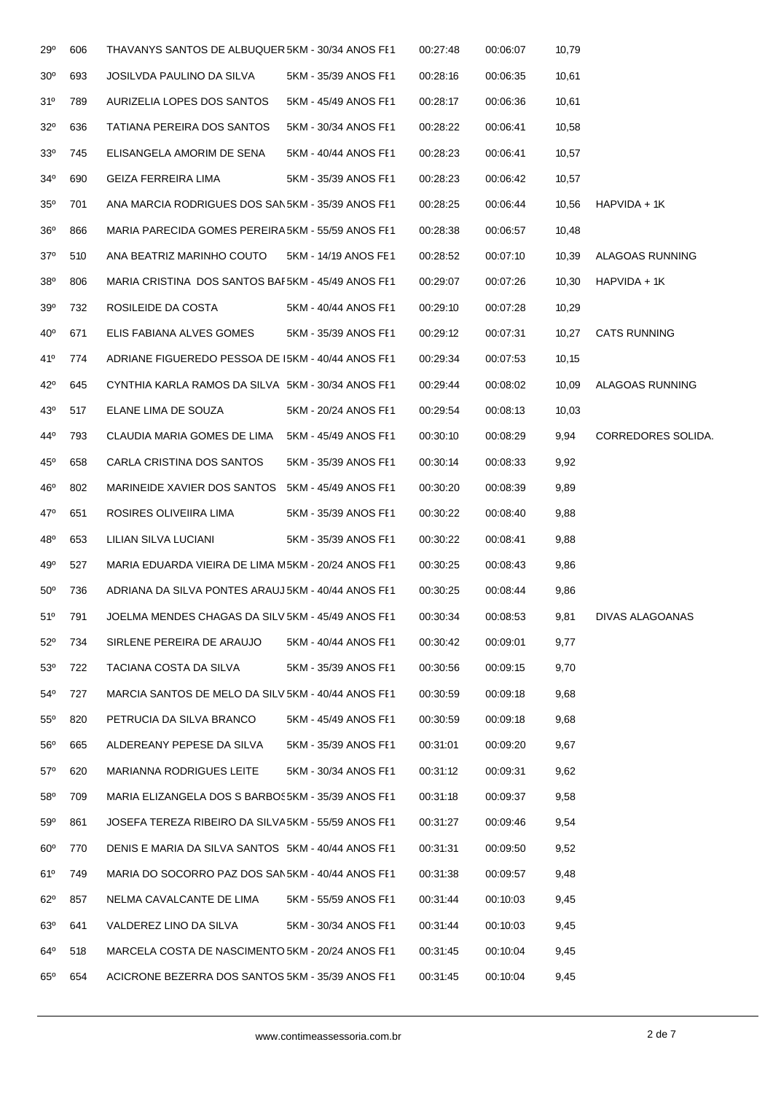| 29°             | 606 | THAVANYS SANTOS DE ALBUQUER 5KM - 30/34 ANOS FE1   |                      | 00:27:48 | 00:06:07 | 10,79  |                     |
|-----------------|-----|----------------------------------------------------|----------------------|----------|----------|--------|---------------------|
| 30 <sup>o</sup> | 693 | JOSILVDA PAULINO DA SILVA                          | 5KM - 35/39 ANOS FE1 | 00:28:16 | 00:06:35 | 10,61  |                     |
| 31 <sup>o</sup> | 789 | AURIZELIA LOPES DOS SANTOS                         | 5KM - 45/49 ANOS FE1 | 00:28:17 | 00:06:36 | 10,61  |                     |
| $32^{\circ}$    | 636 | TATIANA PEREIRA DOS SANTOS                         | 5KM - 30/34 ANOS FE1 | 00:28:22 | 00:06:41 | 10,58  |                     |
| 33 <sup>o</sup> | 745 | ELISANGELA AMORIM DE SENA                          | 5KM - 40/44 ANOS FE1 | 00:28:23 | 00:06:41 | 10,57  |                     |
| $34^{\circ}$    | 690 | GEIZA FERREIRA LIMA                                | 5KM - 35/39 ANOS FE1 | 00:28:23 | 00:06:42 | 10,57  |                     |
| $35^\circ$      | 701 | ANA MARCIA RODRIGUES DOS SAN5KM - 35/39 ANOS FE1   |                      | 00:28:25 | 00:06:44 | 10,56  | HAPVIDA + 1K        |
| $36^{\circ}$    | 866 | MARIA PARECIDA GOMES PEREIRA 5KM - 55/59 ANOS FE1  |                      | 00:28:38 | 00:06:57 | 10,48  |                     |
| $37^\circ$      | 510 | ANA BEATRIZ MARINHO COUTO                          | 5KM - 14/19 ANOS FE1 | 00:28:52 | 00:07:10 | 10,39  | ALAGOAS RUNNING     |
| $38^{\circ}$    | 806 | MARIA CRISTINA DOS SANTOS BAF5KM - 45/49 ANOS FE1  |                      | 00:29:07 | 00:07:26 | 10,30  | HAPVIDA + 1K        |
| 39°             | 732 | ROSILEIDE DA COSTA                                 | 5KM - 40/44 ANOS FE1 | 00:29:10 | 00:07:28 | 10,29  |                     |
| $40^{\circ}$    | 671 | ELIS FABIANA ALVES GOMES                           | 5KM - 35/39 ANOS FE1 | 00:29:12 | 00:07:31 | 10,27  | <b>CATS RUNNING</b> |
| 41°             | 774 | ADRIANE FIGUEREDO PESSOA DE 15KM - 40/44 ANOS FE1  |                      | 00:29:34 | 00:07:53 | 10, 15 |                     |
| $42^{\circ}$    | 645 | CYNTHIA KARLA RAMOS DA SILVA 5KM - 30/34 ANOS FE1  |                      | 00:29:44 | 00:08:02 | 10,09  | ALAGOAS RUNNING     |
| 43°             | 517 | ELANE LIMA DE SOUZA                                | 5KM - 20/24 ANOS FE1 | 00:29:54 | 00:08:13 | 10,03  |                     |
| 44°             | 793 | CLAUDIA MARIA GOMES DE LIMA                        | 5KM - 45/49 ANOS FE1 | 00:30:10 | 00:08:29 | 9,94   | CORREDORES SOLIDA.  |
| $45^{\circ}$    | 658 | CARLA CRISTINA DOS SANTOS                          | 5KM - 35/39 ANOS FE1 | 00:30:14 | 00:08:33 | 9,92   |                     |
| 46°             | 802 | MARINEIDE XAVIER DOS SANTOS                        | 5KM - 45/49 ANOS FE1 | 00:30:20 | 00:08:39 | 9,89   |                     |
| 47°             | 651 | ROSIRES OLIVEIIRA LIMA                             | 5KM - 35/39 ANOS FE1 | 00:30:22 | 00:08:40 | 9,88   |                     |
| 48°             | 653 | LILIAN SILVA LUCIANI                               | 5KM - 35/39 ANOS FE1 | 00:30:22 | 00:08:41 | 9,88   |                     |
| 49°             | 527 | MARIA EDUARDA VIEIRA DE LIMA M5KM - 20/24 ANOS FE1 |                      | 00:30:25 | 00:08:43 | 9,86   |                     |
| $50^\circ$      | 736 | ADRIANA DA SILVA PONTES ARAUJ 5KM - 40/44 ANOS FE1 |                      | 00:30:25 | 00:08:44 | 9,86   |                     |
| $51^{\circ}$    | 791 | JOELMA MENDES CHAGAS DA SILV 5KM - 45/49 ANOS FE1  |                      | 00:30:34 | 00:08:53 | 9,81   | DIVAS ALAGOANAS     |
| $52^{\circ}$    | 734 | SIRLENE PEREIRA DE ARAUJO                          | 5KM - 40/44 ANOS FE1 | 00:30:42 | 00:09:01 | 9,77   |                     |
| $53^\circ$      | 722 | TACIANA COSTA DA SILVA                             | 5KM - 35/39 ANOS FE1 | 00:30:56 | 00:09:15 | 9,70   |                     |
| $54^{\circ}$    | 727 | MARCIA SANTOS DE MELO DA SILV 5KM - 40/44 ANOS FE1 |                      | 00:30:59 | 00:09:18 | 9,68   |                     |
| $55^{\circ}$    | 820 | PETRUCIA DA SILVA BRANCO                           | 5KM - 45/49 ANOS FE1 | 00:30:59 | 00:09:18 | 9,68   |                     |
| $56^{\circ}$    | 665 | ALDEREANY PEPESE DA SILVA                          | 5KM - 35/39 ANOS FE1 | 00:31:01 | 00:09:20 | 9,67   |                     |
| $57^\circ$      | 620 | <b>MARIANNA RODRIGUES LEITE</b>                    | 5KM - 30/34 ANOS FE1 | 00:31:12 | 00:09:31 | 9,62   |                     |
| $58^{\circ}$    | 709 | MARIA ELIZANGELA DOS S BARBOS5KM - 35/39 ANOS FE1  |                      | 00:31:18 | 00:09:37 | 9,58   |                     |
| $59^{\rm o}$    | 861 | JOSEFA TEREZA RIBEIRO DA SILVA5KM - 55/59 ANOS FE1 |                      | 00:31:27 | 00:09:46 | 9,54   |                     |
| $60^{\circ}$    | 770 | DENIS E MARIA DA SILVA SANTOS 5KM - 40/44 ANOS FE1 |                      | 00:31:31 | 00:09:50 | 9,52   |                     |
| 61°             | 749 | MARIA DO SOCORRO PAZ DOS SAN5KM - 40/44 ANOS FE1   |                      | 00:31:38 | 00:09:57 | 9,48   |                     |
| $62^\circ$      | 857 | NELMA CAVALCANTE DE LIMA                           | 5KM - 55/59 ANOS FE1 | 00:31:44 | 00:10:03 | 9,45   |                     |
| 63 <sup>o</sup> | 641 | VALDEREZ LINO DA SILVA                             | 5KM - 30/34 ANOS FE1 | 00:31:44 | 00:10:03 | 9,45   |                     |
| $64^{\circ}$    | 518 | MARCELA COSTA DE NASCIMENTO 5KM - 20/24 ANOS FE1   |                      | 00:31:45 | 00:10:04 | 9,45   |                     |
| $65^{\circ}$    | 654 | ACICRONE BEZERRA DOS SANTOS 5KM - 35/39 ANOS FE1   |                      | 00:31:45 | 00:10:04 | 9,45   |                     |
|                 |     |                                                    |                      |          |          |        |                     |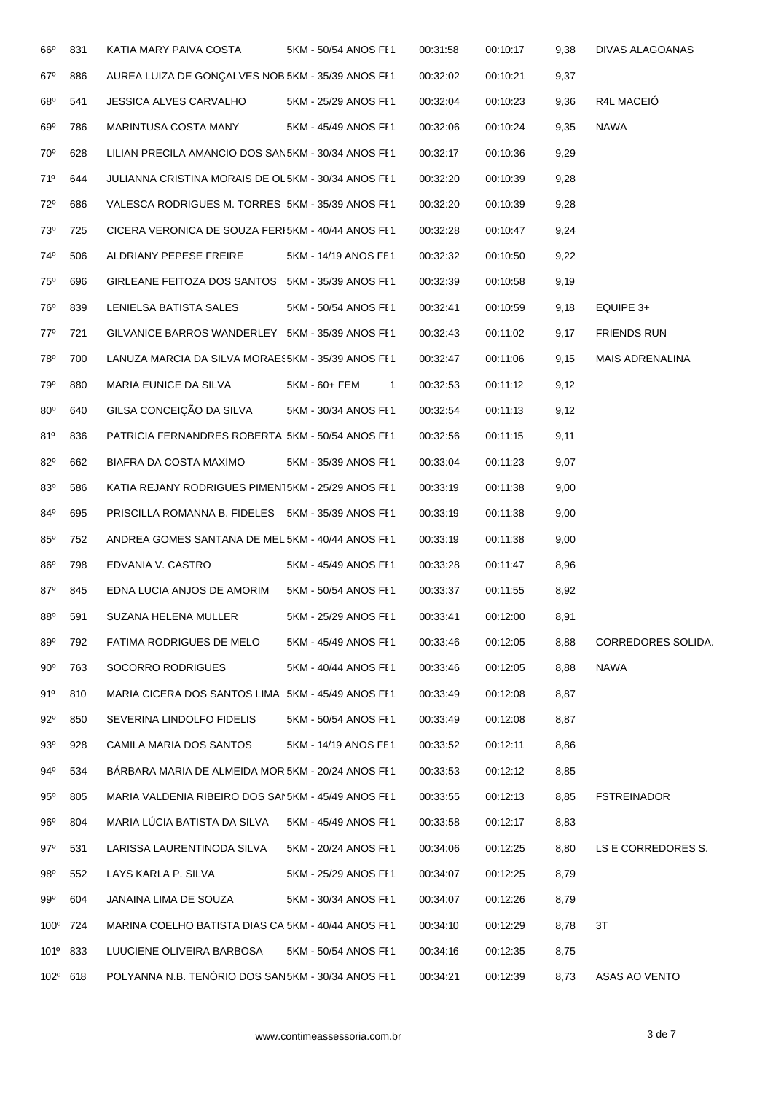| $66^{\circ}$    | 831 | KATIA MARY PAIVA COSTA                             | 5KM - 50/54 ANOS FE1          | 00:31:58 | 00:10:17 | 9,38 | DIVAS ALAGOANAS           |
|-----------------|-----|----------------------------------------------------|-------------------------------|----------|----------|------|---------------------------|
| $67^\circ$      | 886 | AUREA LUIZA DE GONÇALVES NOB 5KM - 35/39 ANOS FE1  |                               | 00:32:02 | 00:10:21 | 9,37 |                           |
| $68^{\circ}$    | 541 | JESSICA ALVES CARVALHO                             | 5KM - 25/29 ANOS FE1          | 00:32:04 | 00:10:23 | 9,36 | R4L MACEIÓ                |
| 69°             | 786 | MARINTUSA COSTA MANY                               | 5KM - 45/49 ANOS FI1          | 00:32:06 | 00:10:24 | 9,35 | <b>NAWA</b>               |
| 70°             | 628 | LILIAN PRECILA AMANCIO DOS SAN5KM - 30/34 ANOS FE1 |                               | 00:32:17 | 00:10:36 | 9,29 |                           |
| 71°             | 644 | JULIANNA CRISTINA MORAIS DE OL5KM - 30/34 ANOS FE1 |                               | 00:32:20 | 00:10:39 | 9,28 |                           |
| 72°             | 686 | VALESCA RODRIGUES M. TORRES 5KM - 35/39 ANOS FE1   |                               | 00:32:20 | 00:10:39 | 9,28 |                           |
| 73 <sup>o</sup> | 725 | CICERA VERONICA DE SOUZA FERI5KM - 40/44 ANOS FE1  |                               | 00:32:28 | 00:10:47 | 9,24 |                           |
| 74°             | 506 | ALDRIANY PEPESE FREIRE                             | 5KM - 14/19 ANOS FE1          | 00:32:32 | 00:10:50 | 9,22 |                           |
| 75°             | 696 | GIRLEANE FEITOZA DOS SANTOS 5KM - 35/39 ANOS FE1   |                               | 00:32:39 | 00:10:58 | 9,19 |                           |
| 76°             | 839 | LENIELSA BATISTA SALES                             | 5KM - 50/54 ANOS FE1          | 00:32:41 | 00:10:59 | 9,18 | EQUIPE 3+                 |
| $77^\circ$      | 721 | GILVANICE BARROS WANDERLEY 5KM - 35/39 ANOS FE1    |                               | 00:32:43 | 00:11:02 | 9,17 | <b>FRIENDS RUN</b>        |
| 78°             | 700 | LANUZA MARCIA DA SILVA MORAES5KM - 35/39 ANOS FE1  |                               | 00:32:47 | 00:11:06 | 9,15 | <b>MAIS ADRENALINA</b>    |
| 79°             | 880 | MARIA EUNICE DA SILVA                              | 5KM - 60+ FEM<br>$\mathbf{1}$ | 00:32:53 | 00:11:12 | 9,12 |                           |
| $80^\circ$      | 640 | GILSA CONCEIÇÃO DA SILVA                           | 5KM - 30/34 ANOS FE1          | 00:32:54 | 00:11:13 | 9,12 |                           |
| $81^{\circ}$    | 836 | PATRICIA FERNANDRES ROBERTA 5KM - 50/54 ANOS FE1   |                               | 00:32:56 | 00:11:15 | 9,11 |                           |
| 82°             | 662 | BIAFRA DA COSTA MAXIMO                             | 5KM - 35/39 ANOS FE1          | 00:33:04 | 00:11:23 | 9,07 |                           |
| $83^{\circ}$    | 586 | KATIA REJANY RODRIGUES PIMEN15KM - 25/29 ANOS FE1  |                               | 00:33:19 | 00:11:38 | 9,00 |                           |
| 84°             | 695 | PRISCILLA ROMANNA B. FIDELES 5KM - 35/39 ANOS FE1  |                               | 00:33:19 | 00:11:38 | 9,00 |                           |
| $85^\circ$      | 752 | ANDREA GOMES SANTANA DE MEL 5KM - 40/44 ANOS FE1   |                               | 00:33:19 | 00:11:38 | 9,00 |                           |
| 86°             | 798 | EDVANIA V. CASTRO                                  | 5KM - 45/49 ANOS FE1          | 00:33:28 | 00:11:47 | 8,96 |                           |
| $87^\circ$      | 845 | EDNA LUCIA ANJOS DE AMORIM                         | 5KM - 50/54 ANOS FE1          | 00:33:37 | 00:11:55 | 8,92 |                           |
| 88 <sup>o</sup> | 591 | SUZANA HELENA MULLER                               | 5KM - 25/29 ANOS FE1          | 00:33:41 | 00:12:00 | 8,91 |                           |
| 89°             | 792 | FATIMA RODRIGUES DE MELO                           | 5KM - 45/49 ANOS FE1          | 00:33:46 | 00:12:05 | 8,88 | <b>CORREDORES SOLIDA.</b> |
| $90^{\circ}$    | 763 | SOCORRO RODRIGUES                                  | 5KM - 40/44 ANOS FE1          | 00:33:46 | 00:12:05 | 8,88 | <b>NAWA</b>               |
| 91°             | 810 | MARIA CICERA DOS SANTOS LIMA 5KM - 45/49 ANOS FE1  |                               | 00:33:49 | 00:12:08 | 8,87 |                           |
| $92^{\circ}$    | 850 | SEVERINA LINDOLFO FIDELIS                          | 5KM - 50/54 ANOS FE1          | 00:33:49 | 00:12:08 | 8,87 |                           |
| 93°             | 928 | CAMILA MARIA DOS SANTOS                            | 5KM - 14/19 ANOS FE1          | 00:33:52 | 00:12:11 | 8,86 |                           |
| 94°             | 534 | BARBARA MARIA DE ALMEIDA MOR 5KM - 20/24 ANOS FE1  |                               | 00:33:53 | 00:12:12 | 8,85 |                           |
| $95^\circ$      | 805 | MARIA VALDENIA RIBEIRO DOS SANSKM - 45/49 ANOS FE1 |                               | 00:33:55 | 00:12:13 | 8,85 | FSTREINADOR               |
| 96°             | 804 | MARIA LÚCIA BATISTA DA SILVA                       | 5KM - 45/49 ANOS FE1          | 00:33:58 | 00:12:17 | 8,83 |                           |
| 97°             | 531 | LARISSA LAURENTINODA SILVA                         | 5KM - 20/24 ANOS FE1          | 00:34:06 | 00:12:25 | 8,80 | LS E CORREDORES S.        |
| 98°             | 552 | LAYS KARLA P. SILVA                                | 5KM - 25/29 ANOS FE1          | 00:34:07 | 00:12:25 | 8,79 |                           |
| $99^{\circ}$    | 604 | JANAINA LIMA DE SOUZA                              | 5KM - 30/34 ANOS FE1          | 00:34:07 | 00:12:26 | 8,79 |                           |
| $100^\circ$     | 724 | MARINA COELHO BATISTA DIAS CA 5KM - 40/44 ANOS FE1 |                               | 00:34:10 | 00:12:29 | 8,78 | 3T                        |
| 101°            | 833 | LUUCIENE OLIVEIRA BARBOSA                          | 5KM - 50/54 ANOS FE1          | 00:34:16 | 00:12:35 | 8,75 |                           |
| 102° 618        |     | POLYANNA N.B. TENÓRIO DOS SAN5KM - 30/34 ANOS FE1  |                               | 00:34:21 | 00:12:39 | 8,73 | ASAS AO VENTO             |
|                 |     |                                                    |                               |          |          |      |                           |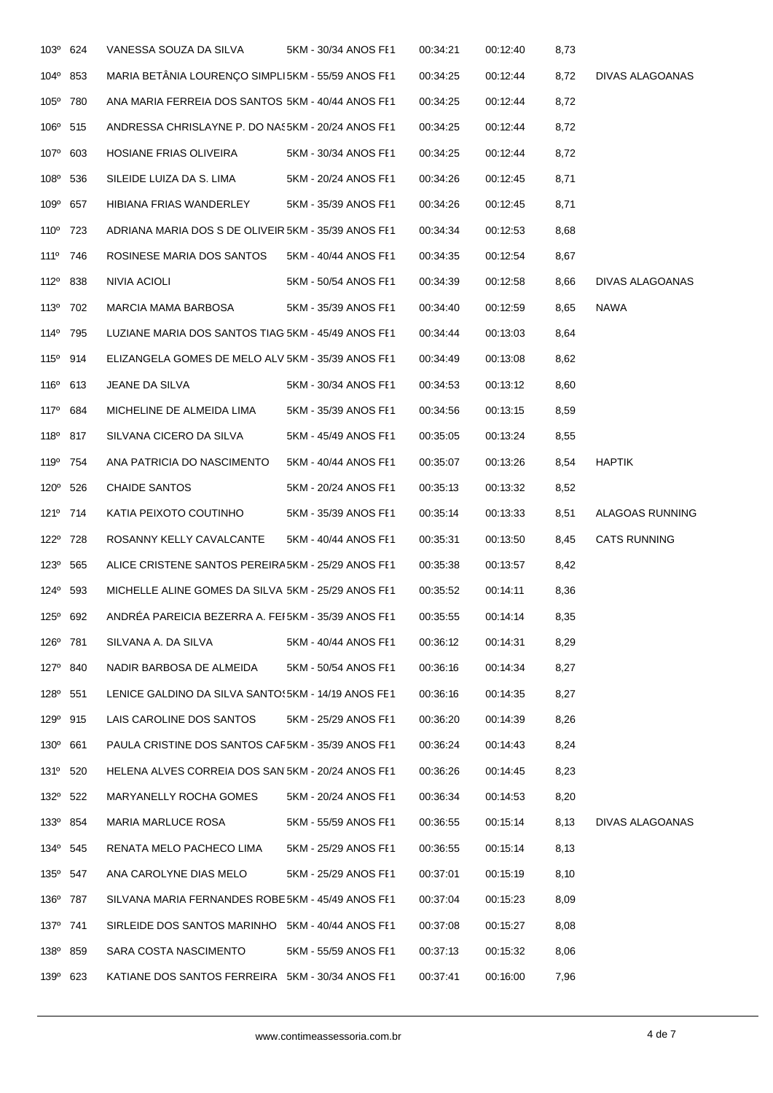| 103 <sup>°</sup> 624 | VANESSA SOUZA DA SILVA                              | 5KM - 30/34 ANOS FE1 | 00:34:21 | 00:12:40 | 8,73 |                     |
|----------------------|-----------------------------------------------------|----------------------|----------|----------|------|---------------------|
| 104° 853             | MARIA BETÂNIA LOURENÇO SIMPLI5KM - 55/59 ANOS FE1   |                      | 00:34:25 | 00:12:44 | 8,72 | DIVAS ALAGOANAS     |
| 105° 780             | ANA MARIA FERREIA DOS SANTOS 5KM - 40/44 ANOS FE1   |                      | 00:34:25 | 00:12:44 | 8,72 |                     |
| 106 <sup>°</sup> 515 | ANDRESSA CHRISLAYNE P. DO NAS5KM - 20/24 ANOS FE1   |                      | 00:34:25 | 00:12:44 | 8,72 |                     |
| 107° 603             | HOSIANE FRIAS OLIVEIRA                              | 5KM - 30/34 ANOS FE1 | 00:34:25 | 00:12:44 | 8,72 |                     |
| 108 <sup>°</sup> 536 | SILEIDE LUIZA DA S. LIMA                            | 5KM - 20/24 ANOS FE1 | 00:34:26 | 00:12:45 | 8,71 |                     |
| 109° 657             | HIBIANA FRIAS WANDERLEY                             | 5KM - 35/39 ANOS FE1 | 00:34:26 | 00:12:45 | 8,71 |                     |
| 110 <sup>°</sup> 723 | ADRIANA MARIA DOS S DE OLIVEIR 5KM - 35/39 ANOS FE1 |                      | 00:34:34 | 00:12:53 | 8,68 |                     |
| 111 <sup>0</sup> 746 | ROSINESE MARIA DOS SANTOS                           | 5KM - 40/44 ANOS FE1 | 00:34:35 | 00:12:54 | 8,67 |                     |
| 112 <sup>0</sup> 838 | NIVIA ACIOLI                                        | 5KM - 50/54 ANOS FE1 | 00:34:39 | 00:12:58 | 8,66 | DIVAS ALAGOANAS     |
| 113º 702             | MARCIA MAMA BARBOSA                                 | 5KM - 35/39 ANOS FE1 | 00:34:40 | 00:12:59 | 8,65 | <b>NAWA</b>         |
| 114 <sup>°</sup> 795 | LUZIANE MARIA DOS SANTOS TIAG 5KM - 45/49 ANOS FE1  |                      | 00:34:44 | 00:13:03 | 8,64 |                     |
| 115 <sup>°</sup> 914 | ELIZANGELA GOMES DE MELO ALVI5KM - 35/39 ANOS FE1   |                      | 00:34:49 | 00:13:08 | 8,62 |                     |
| 116 <sup>°</sup> 613 | JEANE DA SILVA                                      | 5KM - 30/34 ANOS FE1 | 00:34:53 | 00:13:12 | 8,60 |                     |
| 117 <sup>0</sup> 684 | MICHELINE DE ALMEIDA LIMA                           | 5KM - 35/39 ANOS FE1 | 00:34:56 | 00:13:15 | 8,59 |                     |
| 118 <sup>0</sup> 817 | SILVANA CICERO DA SILVA                             | 5KM - 45/49 ANOS FE1 | 00:35:05 | 00:13:24 | 8,55 |                     |
| 119 <sup>°</sup> 754 | ANA PATRICIA DO NASCIMENTO                          | 5KM - 40/44 ANOS FE1 | 00:35:07 | 00:13:26 | 8,54 | <b>HAPTIK</b>       |
| 120° 526             | <b>CHAIDE SANTOS</b>                                | 5KM - 20/24 ANOS FE1 | 00:35:13 | 00:13:32 | 8,52 |                     |
| 121º 714             | KATIA PEIXOTO COUTINHO                              | 5KM - 35/39 ANOS FE1 | 00:35:14 | 00:13:33 | 8,51 | ALAGOAS RUNNING     |
| 122 <sup>0</sup> 728 | ROSANNY KELLY CAVALCANTE                            | 5KM - 40/44 ANOS FE1 | 00:35:31 | 00:13:50 | 8,45 | <b>CATS RUNNING</b> |
| 123 <sup>°</sup> 565 | ALICE CRISTENE SANTOS PEREIRA5KM - 25/29 ANOS FE1   |                      | 00:35:38 | 00:13:57 | 8,42 |                     |
| 124 <sup>°</sup> 593 | MICHELLE ALINE GOMES DA SILVA 5KM - 25/29 ANOS FE1  |                      | 00:35:52 | 00:14:11 | 8,36 |                     |
| $125^{\circ}$ 692    | ANDRÉA PAREICIA BEZERRA A. FEI5KM - 35/39 ANOS FE1  |                      | 00:35:55 | 00:14:14 | 8,35 |                     |
| 126 <sup>°</sup> 781 | SILVANA A. DA SILVA                                 | 5KM - 40/44 ANOS FE1 | 00:36:12 | 00:14:31 | 8,29 |                     |
| 127 <sup>°</sup> 840 | NADIR BARBOSA DE ALMEIDA                            | 5KM - 50/54 ANOS FE1 | 00:36:16 | 00:14:34 | 8,27 |                     |
| 128 <sup>0</sup> 551 | LENICE GALDINO DA SILVA SANTO 5KM - 14/19 ANOS FE1  |                      | 00:36:16 | 00:14:35 | 8,27 |                     |
| 129 <sup>°</sup> 915 | LAIS CAROLINE DOS SANTOS                            | 5KM - 25/29 ANOS FE1 | 00:36:20 | 00:14:39 | 8,26 |                     |
| 130° 661             | PAULA CRISTINE DOS SANTOS CAF5KM - 35/39 ANOS FI1   |                      | 00:36:24 | 00:14:43 | 8,24 |                     |
| 131 <sup>°</sup> 520 | HELENA ALVES CORREIA DOS SAN 5KM - 20/24 ANOS FI1   |                      | 00:36:26 | 00:14:45 | 8,23 |                     |
| 132 <sup>0</sup> 522 | MARYANELLY ROCHA GOMES                              | 5KM - 20/24 ANOS FE1 | 00:36:34 | 00:14:53 | 8,20 |                     |
| 133º 854             | MARIA MARLUCE ROSA                                  | 5KM - 55/59 ANOS FE1 | 00:36:55 | 00:15:14 | 8,13 | DIVAS ALAGOANAS     |
| 134 <sup>°</sup> 545 | RENATA MELO PACHECO LIMA                            | 5KM - 25/29 ANOS FE1 | 00:36:55 | 00:15:14 | 8,13 |                     |
| 135 <sup>°</sup> 547 | ANA CAROLYNE DIAS MELO                              | 5KM - 25/29 ANOS FE1 | 00:37:01 | 00:15:19 | 8,10 |                     |
| 136 <sup>°</sup> 787 | SILVANA MARIA FERNANDES ROBE 5KM - 45/49 ANOS FE1   |                      | 00:37:04 | 00:15:23 | 8,09 |                     |
| 137 <sup>0</sup> 741 | SIRLEIDE DOS SANTOS MARINHO 5KM - 40/44 ANOS FE1    |                      | 00:37:08 | 00:15:27 | 8,08 |                     |
| 138 <sup>0</sup> 859 | SARA COSTA NASCIMENTO                               | 5KM - 55/59 ANOS FE1 | 00:37:13 | 00:15:32 | 8,06 |                     |
| 139° 623             | KATIANE DOS SANTOS FERREIRA 5KM - 30/34 ANOS FE1    |                      | 00:37:41 | 00:16:00 | 7,96 |                     |
|                      |                                                     |                      |          |          |      |                     |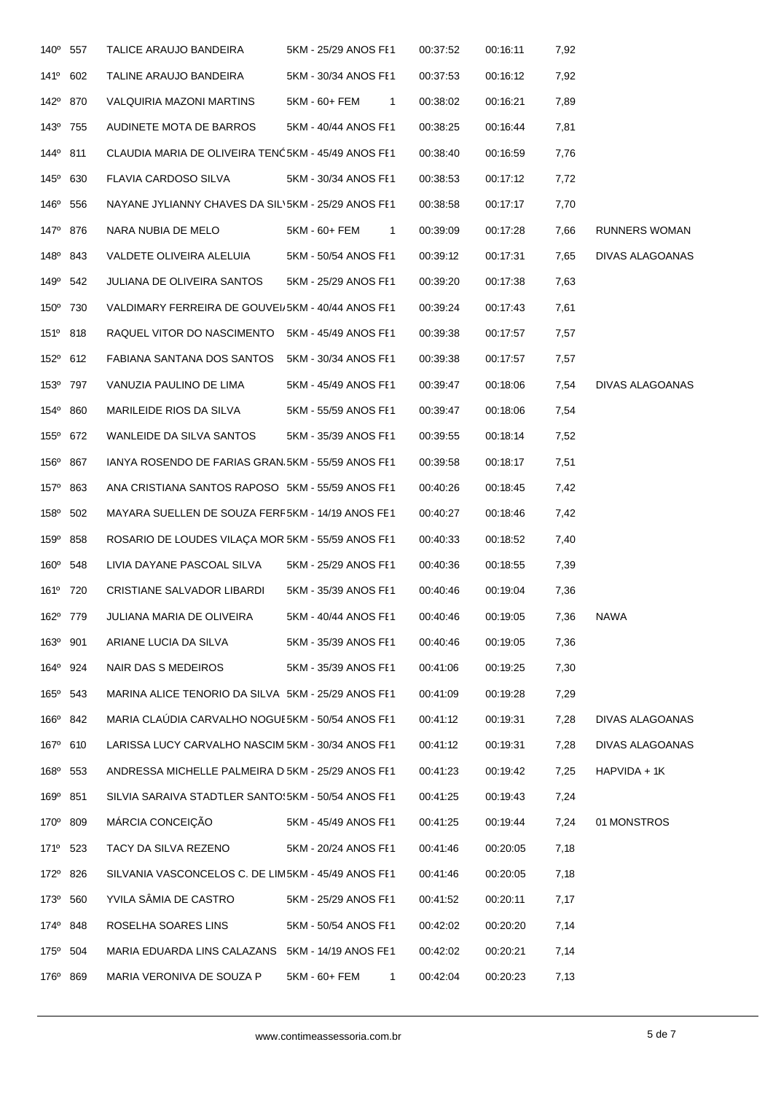| 141 <sup>o</sup> 602<br>142° 870<br>143 <sup>°</sup> 755<br>144 <sup>°</sup> 811<br>145° 630<br>146 <sup>°</sup> 556<br>147 <sup>°</sup> 876<br>148 <sup>°</sup> 843<br>149 <sup>°</sup> 542<br>150° 730<br>151 <sup>°</sup> 818<br>152° 612<br>153º 797<br>154° 860 | TALINE ARAUJO BANDEIRA<br>VALQUIRIA MAZONI MARTINS<br>AUDINETE MOTA DE BARROS<br>CLAUDIA MARIA DE OLIVEIRA TENC5KM - 45/49 ANOS FE1<br>FLAVIA CARDOSO SILVA<br>NAYANE JYLIANNY CHAVES DA SIL\5KM - 25/29 ANOS FE1<br>NARA NUBIA DE MELO<br>VALDETE OLIVEIRA ALELUIA<br>JULIANA DE OLIVEIRA SANTOS<br>VALDIMARY FERREIRA DE GOUVEI/5KM - 40/44 ANOS FE1<br>RAQUEL VITOR DO NASCIMENTO 5KM - 45/49 ANOS FE1 | 5KM - 30/34 ANOS FE1<br>5KM - 60+ FEM<br>5KM - 40/44 ANOS FE1<br>5KM - 30/34 ANOS FI1<br>5KM - 60+ FEM<br>5KM - 50/54 ANOS FE1<br>5KM - 25/29 ANOS FE1 | $\mathbf{1}$<br>$\mathbf{1}$ | 00:37:53<br>00:38:02<br>00:38:25<br>00:38:40<br>00:38:53<br>00:38:58<br>00:39:09 | 00:16:12<br>00:16:21<br>00:16:44<br>00:16:59<br>00:17:12<br>00:17:17<br>00:17:28 | 7,92<br>7,89<br>7,81<br>7,76<br>7,72<br>7,70<br>7,66 |                 |
|----------------------------------------------------------------------------------------------------------------------------------------------------------------------------------------------------------------------------------------------------------------------|-----------------------------------------------------------------------------------------------------------------------------------------------------------------------------------------------------------------------------------------------------------------------------------------------------------------------------------------------------------------------------------------------------------|--------------------------------------------------------------------------------------------------------------------------------------------------------|------------------------------|----------------------------------------------------------------------------------|----------------------------------------------------------------------------------|------------------------------------------------------|-----------------|
|                                                                                                                                                                                                                                                                      |                                                                                                                                                                                                                                                                                                                                                                                                           |                                                                                                                                                        |                              |                                                                                  |                                                                                  |                                                      |                 |
|                                                                                                                                                                                                                                                                      |                                                                                                                                                                                                                                                                                                                                                                                                           |                                                                                                                                                        |                              |                                                                                  |                                                                                  |                                                      |                 |
|                                                                                                                                                                                                                                                                      |                                                                                                                                                                                                                                                                                                                                                                                                           |                                                                                                                                                        |                              |                                                                                  |                                                                                  |                                                      |                 |
|                                                                                                                                                                                                                                                                      |                                                                                                                                                                                                                                                                                                                                                                                                           |                                                                                                                                                        |                              |                                                                                  |                                                                                  |                                                      |                 |
|                                                                                                                                                                                                                                                                      |                                                                                                                                                                                                                                                                                                                                                                                                           |                                                                                                                                                        |                              |                                                                                  |                                                                                  |                                                      |                 |
|                                                                                                                                                                                                                                                                      |                                                                                                                                                                                                                                                                                                                                                                                                           |                                                                                                                                                        |                              |                                                                                  |                                                                                  |                                                      |                 |
|                                                                                                                                                                                                                                                                      |                                                                                                                                                                                                                                                                                                                                                                                                           |                                                                                                                                                        |                              |                                                                                  |                                                                                  |                                                      | RUNNERS WOMAN   |
|                                                                                                                                                                                                                                                                      |                                                                                                                                                                                                                                                                                                                                                                                                           |                                                                                                                                                        |                              | 00:39:12                                                                         | 00:17:31                                                                         | 7,65                                                 | DIVAS ALAGOANAS |
|                                                                                                                                                                                                                                                                      |                                                                                                                                                                                                                                                                                                                                                                                                           |                                                                                                                                                        |                              | 00:39:20                                                                         | 00:17:38                                                                         | 7,63                                                 |                 |
|                                                                                                                                                                                                                                                                      |                                                                                                                                                                                                                                                                                                                                                                                                           |                                                                                                                                                        |                              | 00:39:24                                                                         | 00:17:43                                                                         | 7,61                                                 |                 |
|                                                                                                                                                                                                                                                                      |                                                                                                                                                                                                                                                                                                                                                                                                           |                                                                                                                                                        |                              | 00:39:38                                                                         | 00:17:57                                                                         | 7,57                                                 |                 |
|                                                                                                                                                                                                                                                                      | FABIANA SANTANA DOS SANTOS                                                                                                                                                                                                                                                                                                                                                                                | 5KM - 30/34 ANOS FI1                                                                                                                                   |                              | 00:39:38                                                                         | 00:17:57                                                                         | 7,57                                                 |                 |
|                                                                                                                                                                                                                                                                      | VANUZIA PAULINO DE LIMA                                                                                                                                                                                                                                                                                                                                                                                   | 5KM - 45/49 ANOS FE1                                                                                                                                   |                              | 00:39:47                                                                         | 00:18:06                                                                         | 7,54                                                 | DIVAS ALAGOANAS |
|                                                                                                                                                                                                                                                                      | MARILEIDE RIOS DA SILVA                                                                                                                                                                                                                                                                                                                                                                                   | 5KM - 55/59 ANOS FE1                                                                                                                                   |                              | 00:39:47                                                                         | 00:18:06                                                                         | 7,54                                                 |                 |
| 155° 672                                                                                                                                                                                                                                                             | WANLEIDE DA SILVA SANTOS                                                                                                                                                                                                                                                                                                                                                                                  | 5KM - 35/39 ANOS FE1                                                                                                                                   |                              | 00:39:55                                                                         | 00:18:14                                                                         | 7,52                                                 |                 |
| 156 <sup>°</sup> 867                                                                                                                                                                                                                                                 | IANYA ROSENDO DE FARIAS GRAN.5KM - 55/59 ANOS FE1                                                                                                                                                                                                                                                                                                                                                         |                                                                                                                                                        |                              | 00:39:58                                                                         | 00:18:17                                                                         | 7,51                                                 |                 |
| 157 <sup>°</sup> 863                                                                                                                                                                                                                                                 | ANA CRISTIANA SANTOS RAPOSO 5KM - 55/59 ANOS FE1                                                                                                                                                                                                                                                                                                                                                          |                                                                                                                                                        |                              | 00:40:26                                                                         | 00:18:45                                                                         | 7,42                                                 |                 |
| 158 <sup>°</sup> 502                                                                                                                                                                                                                                                 | MAYARA SUELLEN DE SOUZA FERF5KM - 14/19 ANOS FE1                                                                                                                                                                                                                                                                                                                                                          |                                                                                                                                                        |                              | 00:40:27                                                                         | 00:18:46                                                                         | 7,42                                                 |                 |
| 159° 858                                                                                                                                                                                                                                                             | ROSARIO DE LOUDES VILAÇA MOR 5KM - 55/59 ANOS FE1                                                                                                                                                                                                                                                                                                                                                         |                                                                                                                                                        |                              | 00:40:33                                                                         | 00:18:52                                                                         | 7,40                                                 |                 |
| 160° 548                                                                                                                                                                                                                                                             | LIVIA DAYANE PASCOAL SILVA                                                                                                                                                                                                                                                                                                                                                                                | 5KM - 25/29 ANOS FI1                                                                                                                                   |                              | 00:40:36                                                                         | 00:18:55                                                                         | 7,39                                                 |                 |
| 161 <sup>°</sup> 720                                                                                                                                                                                                                                                 | CRISTIANE SALVADOR LIBARDI                                                                                                                                                                                                                                                                                                                                                                                | 5KM - 35/39 ANOS FE1                                                                                                                                   |                              | 00:40:46                                                                         | 00:19:04                                                                         | 7,36                                                 |                 |
| 162 <sup>°</sup> 779                                                                                                                                                                                                                                                 | JULIANA MARIA DE OLIVEIRA                                                                                                                                                                                                                                                                                                                                                                                 | 5KM - 40/44 ANOS FE1                                                                                                                                   |                              | 00:40:46                                                                         | 00:19:05                                                                         | 7,36                                                 | NAWA            |
| 163 <sup>°</sup> 901                                                                                                                                                                                                                                                 | ARIANE LUCIA DA SILVA                                                                                                                                                                                                                                                                                                                                                                                     | 5KM - 35/39 ANOS FE1                                                                                                                                   |                              | 00:40:46                                                                         | 00:19:05                                                                         | 7,36                                                 |                 |
| 164 <sup>°</sup> 924                                                                                                                                                                                                                                                 | NAIR DAS S MEDEIROS                                                                                                                                                                                                                                                                                                                                                                                       | 5KM - 35/39 ANOS FE1                                                                                                                                   |                              | 00:41:06                                                                         | 00:19:25                                                                         | 7,30                                                 |                 |
| 165 <sup>°</sup> 543                                                                                                                                                                                                                                                 | MARINA ALICE TENORIO DA SILVA 5KM - 25/29 ANOS FE1                                                                                                                                                                                                                                                                                                                                                        |                                                                                                                                                        |                              | 00:41:09                                                                         | 00:19:28                                                                         | 7,29                                                 |                 |
| 166 <sup>°</sup> 842                                                                                                                                                                                                                                                 | MARIA CLAUDIA CARVALHO NOGUE5KM - 50/54 ANOS FE1                                                                                                                                                                                                                                                                                                                                                          |                                                                                                                                                        |                              | 00:41:12                                                                         | 00:19:31                                                                         | 7,28                                                 | DIVAS ALAGOANAS |
| 167° 610                                                                                                                                                                                                                                                             | LARISSA LUCY CARVALHO NASCIMI5KM - 30/34 ANOS FE1                                                                                                                                                                                                                                                                                                                                                         |                                                                                                                                                        |                              | 00:41:12                                                                         | 00:19:31                                                                         | 7,28                                                 | DIVAS ALAGOANAS |
| 168 <sup>°</sup> 553                                                                                                                                                                                                                                                 | ANDRESSA MICHELLE PALMEIRA D'5KM - 25/29 ANOS FE1                                                                                                                                                                                                                                                                                                                                                         |                                                                                                                                                        |                              | 00:41:23                                                                         | 00:19:42                                                                         | 7,25                                                 | HAPVIDA + 1K    |
| 169 <sup>°</sup> 851                                                                                                                                                                                                                                                 | SILVIA SARAIVA STADTLER SANTO(5KM - 50/54 ANOS FE1                                                                                                                                                                                                                                                                                                                                                        |                                                                                                                                                        |                              | 00:41:25                                                                         | 00:19:43                                                                         | 7,24                                                 |                 |
| 170° 809                                                                                                                                                                                                                                                             | MÁRCIA CONCEIÇÃO                                                                                                                                                                                                                                                                                                                                                                                          | 5KM - 45/49 ANOS FE1                                                                                                                                   |                              | 00:41:25                                                                         | 00:19:44                                                                         | 7,24                                                 | 01 MONSTROS     |
| 171 <sup>0</sup> 523                                                                                                                                                                                                                                                 | TACY DA SILVA REZENO                                                                                                                                                                                                                                                                                                                                                                                      | 5KM - 20/24 ANOS FE1                                                                                                                                   |                              | 00:41:46                                                                         | 00:20:05                                                                         | 7,18                                                 |                 |
| 172 <sup>0</sup> 826                                                                                                                                                                                                                                                 | SILVANIA VASCONCELOS C. DE LIM5KM - 45/49 ANOS FE1                                                                                                                                                                                                                                                                                                                                                        |                                                                                                                                                        |                              | 00:41:46                                                                         | 00:20:05                                                                         | 7,18                                                 |                 |
| 173º 560                                                                                                                                                                                                                                                             | YVILA SÂMIA DE CASTRO                                                                                                                                                                                                                                                                                                                                                                                     | 5KM - 25/29 ANOS FE1                                                                                                                                   |                              | 00:41:52                                                                         | 00:20:11                                                                         | 7,17                                                 |                 |
| 174 <sup>°</sup> 848                                                                                                                                                                                                                                                 | ROSELHA SOARES LINS                                                                                                                                                                                                                                                                                                                                                                                       | 5KM - 50/54 ANOS FE1                                                                                                                                   |                              | 00:42:02                                                                         | 00:20:20                                                                         | 7,14                                                 |                 |
| 175° 504                                                                                                                                                                                                                                                             | MARIA EDUARDA LINS CALAZANS 5KM - 14/19 ANOS FE1                                                                                                                                                                                                                                                                                                                                                          |                                                                                                                                                        |                              | 00:42:02                                                                         | 00:20:21                                                                         | 7,14                                                 |                 |
| 176 <sup>°</sup> 869                                                                                                                                                                                                                                                 |                                                                                                                                                                                                                                                                                                                                                                                                           |                                                                                                                                                        |                              |                                                                                  |                                                                                  |                                                      |                 |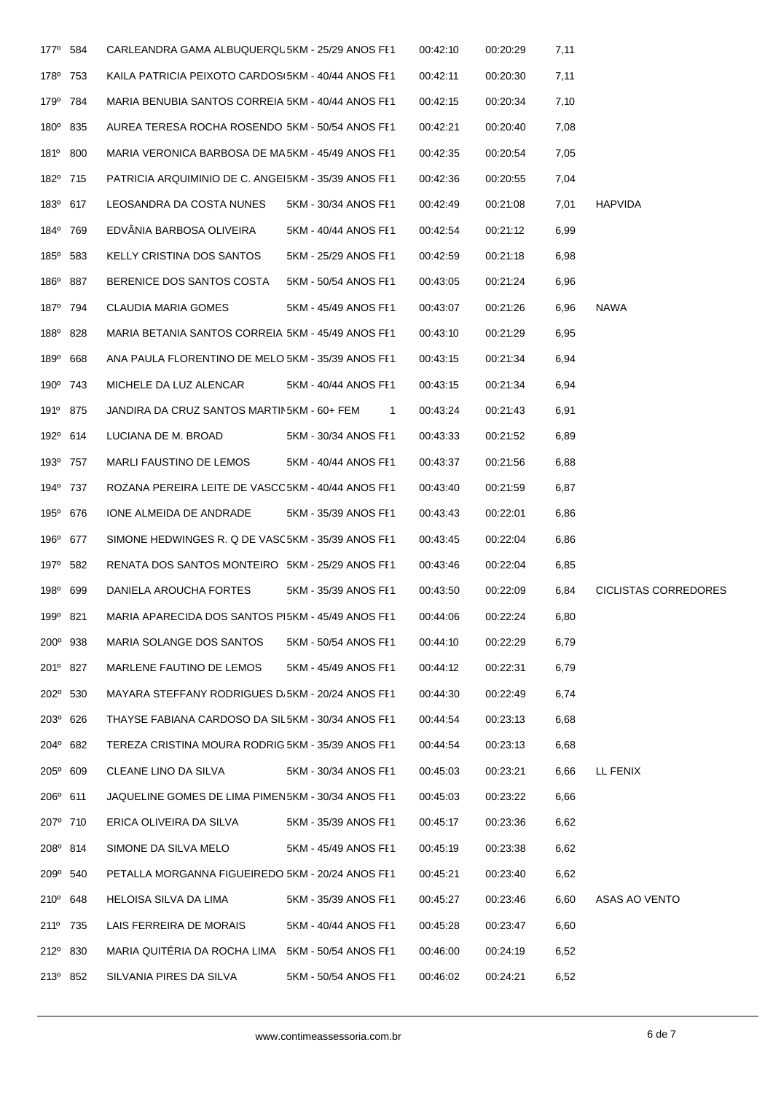| 177 <sup>0</sup> 584 | CARLEANDRA GAMA ALBUQUERQU5KM - 25/29 ANOS FI1      |                      | 00:42:10 | 00:20:29 | 7,11 |                             |
|----------------------|-----------------------------------------------------|----------------------|----------|----------|------|-----------------------------|
| 178 <sup>0</sup> 753 | KAILA PATRICIA PEIXOTO CARDOS(5KM - 40/44 ANOS FE1  |                      | 00:42:11 | 00:20:30 | 7,11 |                             |
| 179 <sup>°</sup> 784 | MARIA BENUBIA SANTOS CORREIA 5KM - 40/44 ANOS FE1   |                      | 00:42:15 | 00:20:34 | 7,10 |                             |
| 180° 835             | AUREA TERESA ROCHA ROSENDO 5KM - 50/54 ANOS FE1     |                      | 00:42:21 | 00:20:40 | 7,08 |                             |
| 181º 800             | MARIA VERONICA BARBOSA DE MA5KM - 45/49 ANOS FE1    |                      | 00:42:35 | 00:20:54 | 7,05 |                             |
| 182º 715             | PATRICIA ARQUIMINIO DE C. ANGEI5KM - 35/39 ANOS FE1 |                      | 00:42:36 | 00:20:55 | 7,04 |                             |
| 183 <sup>°</sup> 617 | LEOSANDRA DA COSTA NUNES                            | 5KM - 30/34 ANOS FE1 | 00:42:49 | 00:21:08 | 7,01 | <b>HAPVIDA</b>              |
| 184 <sup>°</sup> 769 | EDVANIA BARBOSA OLIVEIRA                            | 5KM - 40/44 ANOS FE1 | 00:42:54 | 00:21:12 | 6,99 |                             |
| 185 <sup>°</sup> 583 | KELLY CRISTINA DOS SANTOS                           | 5KM - 25/29 ANOS FE1 | 00:42:59 | 00:21:18 | 6,98 |                             |
| 186 <sup>°</sup> 887 | BERENICE DOS SANTOS COSTA                           | 5KM - 50/54 ANOS FE1 | 00:43:05 | 00:21:24 | 6,96 |                             |
| 187 <sup>°</sup> 794 | <b>CLAUDIA MARIA GOMES</b>                          | 5KM - 45/49 ANOS FI1 | 00:43:07 | 00:21:26 | 6,96 | <b>NAWA</b>                 |
| 188 <sup>0</sup> 828 | MARIA BETANIA SANTOS CORREIA 5KM - 45/49 ANOS FE1   |                      | 00:43:10 | 00:21:29 | 6,95 |                             |
| 189 <sup>°</sup> 668 | ANA PAULA FLORENTINO DE MELO 5KM - 35/39 ANOS FE1   |                      | 00:43:15 | 00:21:34 | 6,94 |                             |
| 190° 743             | MICHELE DA LUZ ALENCAR                              | 5KM - 40/44 ANOS FI1 | 00:43:15 | 00:21:34 | 6,94 |                             |
| 191 <sup>°</sup> 875 | JANDIRA DA CRUZ SANTOS MARTIN5KM - 60+ FEM          | $\mathbf{1}$         | 00:43:24 | 00:21:43 | 6,91 |                             |
| 192 <sup>°</sup> 614 | LUCIANA DE M. BROAD                                 | 5KM - 30/34 ANOS FE1 | 00:43:33 | 00:21:52 | 6,89 |                             |
| 193 <sup>°</sup> 757 | MARLI FAUSTINO DE LEMOS                             | 5KM - 40/44 ANOS FE1 | 00:43:37 | 00:21:56 | 6,88 |                             |
| 194 <sup>°</sup> 737 | ROZANA PEREIRA LEITE DE VASCO5KM - 40/44 ANOS FE1   |                      | 00:43:40 | 00:21:59 | 6,87 |                             |
| 195 <sup>°</sup> 676 | IONE ALMEIDA DE ANDRADE                             | 5KM - 35/39 ANOS FE1 | 00:43:43 | 00:22:01 | 6,86 |                             |
| 196 <sup>°</sup> 677 | SIMONE HEDWINGES R. Q DE VASC5KM - 35/39 ANOS FE1   |                      | 00:43:45 | 00:22:04 | 6,86 |                             |
| 197 <sup>°</sup> 582 | RENATA DOS SANTOS MONTEIRO 5KM - 25/29 ANOS FE1     |                      | 00:43:46 | 00:22:04 | 6,85 |                             |
| 198 <sup>°</sup> 699 | DANIELA AROUCHA FORTES                              | 5KM - 35/39 ANOS FE1 | 00:43:50 | 00:22:09 | 6,84 | <b>CICLISTAS CORREDORES</b> |
| 199 <sup>°</sup> 821 | MARIA APARECIDA DOS SANTOS PI5KM - 45/49 ANOS FE1   |                      | 00:44:06 | 00:22:24 | 6,80 |                             |
| 200° 938             | MARIA SOLANGE DOS SANTOS                            | 5KM - 50/54 ANOS FE1 | 00:44:10 | 00:22:29 | 6,79 |                             |
| 201º 827             | MARLENE FAUTINO DE LEMOS                            | 5KM - 45/49 ANOS FE1 | 00:44:12 | 00:22:31 | 6,79 |                             |
| 202° 530             | MAYARA STEFFANY RODRIGUES D/5KM - 20/24 ANOS FE1    |                      | 00:44:30 | 00:22:49 | 6,74 |                             |
| 203º 626             | THAYSE FABIANA CARDOSO DA SIL5KM - 30/34 ANOS FE1   |                      | 00:44:54 | 00:23:13 | 6,68 |                             |
| 204° 682             | TEREZA CRISTINA MOURA RODRIG 5KM - 35/39 ANOS FI1   |                      | 00:44:54 | 00:23:13 | 6,68 |                             |
| 205° 609             | CLEANE LINO DA SILVA                                | 5KM - 30/34 ANOS FE1 | 00:45:03 | 00:23:21 | 6,66 | LL FENIX                    |
| 206° 611             | JAQUELINE GOMES DE LIMA PIMEN5KM - 30/34 ANOS FE1   |                      | 00:45:03 | 00:23:22 | 6,66 |                             |
| 207º 710             | ERICA OLIVEIRA DA SILVA                             | 5KM - 35/39 ANOS FE1 | 00:45:17 | 00:23:36 | 6,62 |                             |
| 208º 814             | SIMONE DA SILVA MELO                                | 5KM - 45/49 ANOS FE1 | 00:45:19 | 00:23:38 | 6,62 |                             |
| 209° 540             | PETALLA MORGANNA FIGUEIREDO 5KM - 20/24 ANOS FE1    |                      | 00:45:21 | 00:23:40 | 6,62 |                             |
| 210° 648             | HELOISA SILVA DA LIMA                               | 5KM - 35/39 ANOS FE1 | 00:45:27 | 00:23:46 | 6,60 | ASAS AO VENTO               |
| 211 <sup>°</sup> 735 | LAIS FERREIRA DE MORAIS                             | 5KM - 40/44 ANOS FE1 | 00:45:28 | 00:23:47 | 6,60 |                             |
| 212 <sup>°</sup> 830 | MARIA QUITÉRIA DA ROCHA LIMA 5KM - 50/54 ANOS FE1   |                      | 00:46:00 | 00:24:19 | 6,52 |                             |
| 213 <sup>0</sup> 852 | SILVANIA PIRES DA SILVA                             | 5KM - 50/54 ANOS FE1 | 00:46:02 | 00:24:21 | 6,52 |                             |